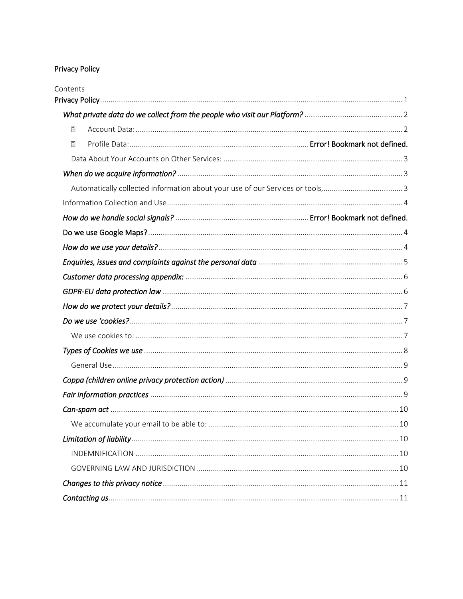# <span id="page-0-0"></span>Privacy Policy

| Contents                                                                      |  |
|-------------------------------------------------------------------------------|--|
|                                                                               |  |
| $\overline{2}$                                                                |  |
| 卪                                                                             |  |
|                                                                               |  |
|                                                                               |  |
| Automatically collected information about your use of our Services or tools,3 |  |
|                                                                               |  |
|                                                                               |  |
|                                                                               |  |
|                                                                               |  |
|                                                                               |  |
|                                                                               |  |
|                                                                               |  |
|                                                                               |  |
|                                                                               |  |
|                                                                               |  |
|                                                                               |  |
|                                                                               |  |
|                                                                               |  |
|                                                                               |  |
|                                                                               |  |
|                                                                               |  |
|                                                                               |  |
|                                                                               |  |
|                                                                               |  |
|                                                                               |  |
|                                                                               |  |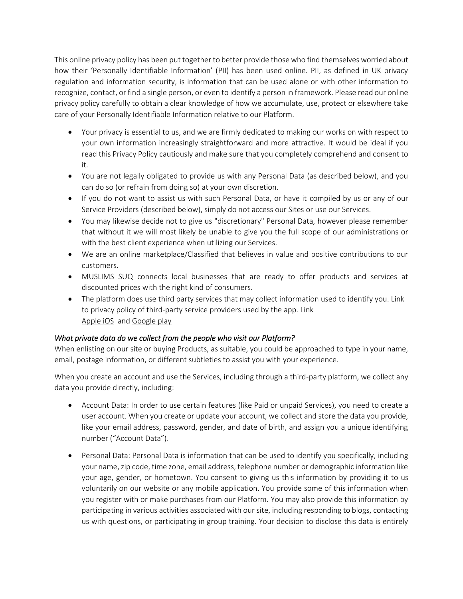This online privacy policy has been put together to better provide those who find themselves worried about how their 'Personally Identifiable Information' (PII) has been used online. PII, as defined in UK privacy regulation and information security, is information that can be used alone or with other information to recognize, contact, or find a single person, or even to identify a person in framework. Please read our online privacy policy carefully to obtain a clear knowledge of how we accumulate, use, protect or elsewhere take care of your Personally Identifiable Information relative to our Platform.

- Your privacy is essential to us, and we are firmly dedicated to making our works on with respect to your own information increasingly straightforward and more attractive. It would be ideal if you read this Privacy Policy cautiously and make sure that you completely comprehend and consent to it.
- You are not legally obligated to provide us with any Personal Data (as described below), and you can do so (or refrain from doing so) at your own discretion.
- If you do not want to assist us with such Personal Data, or have it compiled by us or any of our Service Providers (described below), simply do not access our Sites or use our Services.
- You may likewise decide not to give us "discretionary" Personal Data, however please remember that without it we will most likely be unable to give you the full scope of our administrations or with the best client experience when utilizing our Services.
- We are an online marketplace/Classified that believes in value and positive contributions to our customers.
- MUSLIMS SUQ connects local businesses that are ready to offer products and services at discounted prices with the right kind of consumers.
- The platform does use third party services that may collect information used to identify you. Link to privacy policy of third-party service providers used by the app. [Link](https://developer.apple.com/app-store/app-privacy-details/) [Apple iOS](https://developer.apple.com/app-store/app-privacy-details/) an[d Google play](https://policies.google.com/privacy?hl=en-US)

# <span id="page-1-0"></span>*What private data do we collect from the people who visit our Platform?*

When enlisting on our site or buying Products, as suitable, you could be approached to type in your name, email, postage information, or different subtleties to assist you with your experience.

When you create an account and use the Services, including through a third-party platform, we collect any data you provide directly, including:

- <span id="page-1-1"></span>• Account Data: In order to use certain features (like Paid or unpaid Services), you need to create a user account. When you create or update your account, we collect and store the data you provide, like your email address, password, gender, and date of birth, and assign you a unique identifying number ("Account Data").
- Personal Data: Personal Data is information that can be used to identify you specifically, including your name, zip code, time zone, email address, telephone number or demographic information like your age, gender, or hometown. You consent to giving us this information by providing it to us voluntarily on our website or any mobile application. You provide some of this information when you register with or make purchases from our Platform. You may also provide this information by participating in various activities associated with our site, including responding to blogs, contacting us with questions, or participating in group training. Your decision to disclose this data is entirely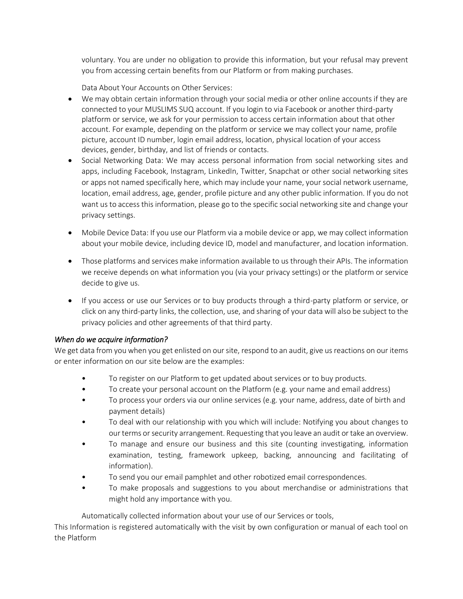voluntary. You are under no obligation to provide this information, but your refusal may prevent you from accessing certain benefits from our Platform or from making purchases.

Data About Your Accounts on Other Services:

- <span id="page-2-0"></span>• We may obtain certain information through your social media or other online accounts if they are connected to your MUSLIMS SUQ account. If you login to via Facebook or another third-party platform or service, we ask for your permission to access certain information about that other account. For example, depending on the platform or service we may collect your name, profile picture, account ID number, login email address, location, physical location of your access devices, gender, birthday, and list of friends or contacts.
- Social Networking Data: We may access personal information from social networking sites and apps, including Facebook, Instagram, LinkedIn, Twitter, Snapchat or other social networking sites or apps not named specifically here, which may include your name, your social network username, location, email address, age, gender, profile picture and any other public information. If you do not want us to access this information, please go to the specific social networking site and change your privacy settings.
- Mobile Device Data: If you use our Platform via a mobile device or app, we may collect information about your mobile device, including device ID, model and manufacturer, and location information.
- Those platforms and services make information available to us through their APIs. The information we receive depends on what information you (via your privacy settings) or the platform or service decide to give us.
- If you access or use our Services or to buy products through a third-party platform or service, or click on any third-party links, the collection, use, and sharing of your data will also be subject to the privacy policies and other agreements of that third party.

# <span id="page-2-1"></span>*When do we acquire information?*

We get data from you when you get enlisted on our site, respond to an audit, give us reactions on our items or enter information on our site below are the examples:

- To register on our Platform to get updated about services or to buy products.
- To create your personal account on the Platform (e.g. your name and email address)
- To process your orders via our online services (e.g. your name, address, date of birth and payment details)
- To deal with our relationship with you which will include: Notifying you about changes to our terms or security arrangement. Requesting that you leave an audit or take an overview.
- To manage and ensure our business and this site (counting investigating, information examination, testing, framework upkeep, backing, announcing and facilitating of information).
- To send you our email pamphlet and other robotized email correspondences.
- To make proposals and suggestions to you about merchandise or administrations that might hold any importance with you.

Automatically collected information about your use of our Services or tools,

<span id="page-2-2"></span>This Information is registered automatically with the visit by own configuration or manual of each tool on the Platform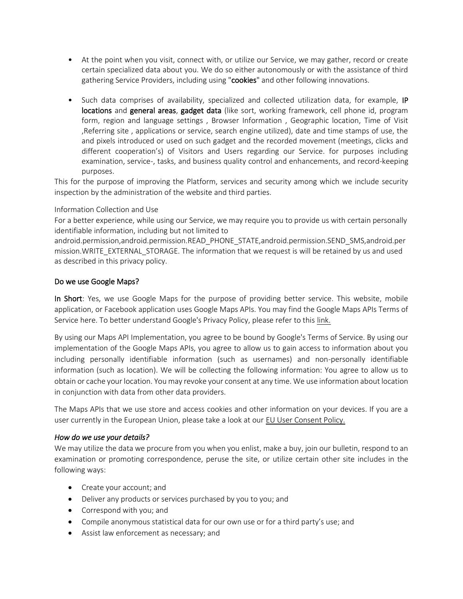- At the point when you visit, connect with, or utilize our Service, we may gather, record or create certain specialized data about you. We do so either autonomously or with the assistance of third gathering Service Providers, including using "cookies" and other following innovations.
- Such data comprises of availability, specialized and collected utilization data, for example, IP locations and general areas, gadget data (like sort, working framework, cell phone id, program form, region and language settings , Browser Information , Geographic location, Time of Visit ,Referring site , applications or service, search engine utilized), date and time stamps of use, the and pixels introduced or used on such gadget and the recorded movement (meetings, clicks and different cooperation's) of Visitors and Users regarding our Service. for purposes including examination, service-, tasks, and business quality control and enhancements, and record-keeping purposes.

This for the purpose of improving the Platform, services and security among which we include security inspection by the administration of the website and third parties.

## <span id="page-3-0"></span>Information Collection and Use

For a better experience, while using our Service, we may require you to provide us with certain personally identifiable information, including but not limited to

android.permission,android.permission.READ\_PHONE\_STATE,android.permission.SEND\_SMS,android.per mission.WRITE\_EXTERNAL\_STORAGE. The information that we request is will be retained by us and used as described in this privacy policy.

## <span id="page-3-1"></span>Do we use Google Maps?

In Short: Yes, we use Google Maps for the purpose of providing better service. This website, mobile application, or Facebook application uses Google Maps APIs. You may find the Google Maps APIs Terms of Service here. To better understand Google's Privacy Policy, please refer to this [link.](https://policies.google.com/privacy)

By using our Maps API Implementation, you agree to be bound by Google's Terms of Service. By using our implementation of the Google Maps APIs, you agree to allow us to gain access to information about you including personally identifiable information (such as usernames) and non-personally identifiable information (such as location). We will be collecting the following information: You agree to allow us to obtain or cache your location. You may revoke your consent at any time. We use information about location in conjunction with data from other data providers.

The Maps APIs that we use store and access cookies and other information on your devices. If you are a user currently in the European Union, please take a look at our [EU User Consent Policy.](https://www.google.com/about/company/user-consent-policy/)

#### <span id="page-3-2"></span>*How do we use your details?*

We may utilize the data we procure from you when you enlist, make a buy, join our bulletin, respond to an examination or promoting correspondence, peruse the site, or utilize certain other site includes in the following ways:

- Create your account; and
- Deliver any products or services purchased by you to you; and
- Correspond with you; and
- Compile anonymous statistical data for our own use or for a third party's use; and
- Assist law enforcement as necessary; and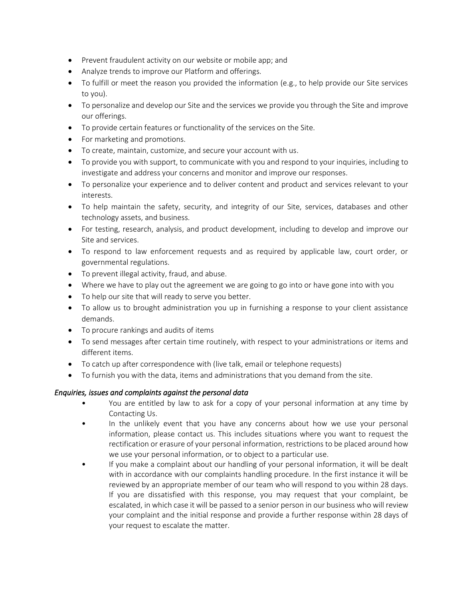- Prevent fraudulent activity on our website or mobile app; and
- Analyze trends to improve our Platform and offerings.
- To fulfill or meet the reason you provided the information (e.g., to help provide our Site services to you).
- To personalize and develop our Site and the services we provide you through the Site and improve our offerings.
- To provide certain features or functionality of the services on the Site.
- For marketing and promotions.
- To create, maintain, customize, and secure your account with us.
- To provide you with support, to communicate with you and respond to your inquiries, including to investigate and address your concerns and monitor and improve our responses.
- To personalize your experience and to deliver content and product and services relevant to your interests.
- To help maintain the safety, security, and integrity of our Site, services, databases and other technology assets, and business.
- For testing, research, analysis, and product development, including to develop and improve our Site and services.
- To respond to law enforcement requests and as required by applicable law, court order, or governmental regulations.
- To prevent illegal activity, fraud, and abuse.
- Where we have to play out the agreement we are going to go into or have gone into with you
- To help our site that will ready to serve you better.
- To allow us to brought administration you up in furnishing a response to your client assistance demands.
- To procure rankings and audits of items
- To send messages after certain time routinely, with respect to your administrations or items and different items.
- To catch up after correspondence with (live talk, email or telephone requests)
- To furnish you with the data, items and administrations that you demand from the site.

# <span id="page-4-0"></span>*Enquiries, issues and complaints against the personal data*

- You are entitled by law to ask for a copy of your personal information at any time by Contacting Us.
- In the unlikely event that you have any concerns about how we use your personal information, please contact us. This includes situations where you want to request the rectification or erasure of your personal information, restrictions to be placed around how we use your personal information, or to object to a particular use.
- If you make a complaint about our handling of your personal information, it will be dealt with in accordance with our complaints handling procedure. In the first instance it will be reviewed by an appropriate member of our team who will respond to you within 28 days. If you are dissatisfied with this response, you may request that your complaint, be escalated, in which case it will be passed to a senior person in our business who will review your complaint and the initial response and provide a further response within 28 days of your request to escalate the matter.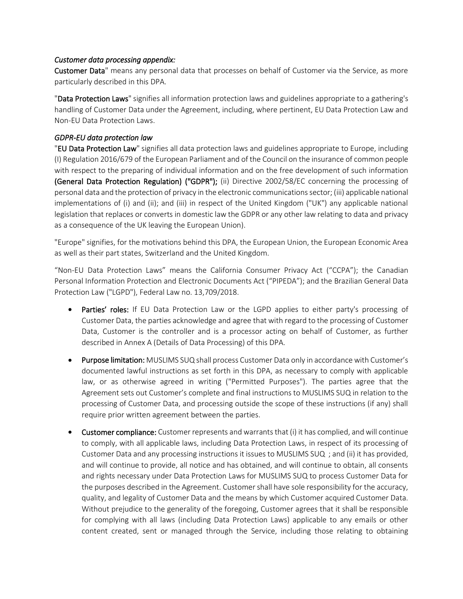#### <span id="page-5-0"></span>*Customer data processing appendix:*

Customer Data" means any personal data that processes on behalf of Customer via the Service, as more particularly described in this DPA.

"Data Protection Laws" signifies all information protection laws and guidelines appropriate to a gathering's handling of Customer Data under the Agreement, including, where pertinent, EU Data Protection Law and Non-EU Data Protection Laws.

## <span id="page-5-1"></span>*GDPR-EU data protection law*

"EU Data Protection Law" signifies all data protection laws and guidelines appropriate to Europe, including (I) Regulation 2016/679 of the European Parliament and of the Council on the insurance of common people with respect to the preparing of individual information and on the free development of such information (General Data Protection Regulation) ("GDPR"); (ii) Directive 2002/58/EC concerning the processing of personal data and the protection of privacy in the electronic communications sector; (iii) applicable national implementations of (i) and (ii); and (iii) in respect of the United Kingdom ("UK") any applicable national legislation that replaces or converts in domestic law the GDPR or any other law relating to data and privacy as a consequence of the UK leaving the European Union).

"Europe" signifies, for the motivations behind this DPA, the European Union, the European Economic Area as well as their part states, Switzerland and the United Kingdom.

"Non-EU Data Protection Laws" means the California Consumer Privacy Act ("CCPA"); the Canadian Personal Information Protection and Electronic Documents Act ("PIPEDA"); and the Brazilian General Data Protection Law ("LGPD"), Federal Law no. 13,709/2018.

- Parties' roles: If EU Data Protection Law or the LGPD applies to either party's processing of Customer Data, the parties acknowledge and agree that with regard to the processing of Customer Data, Customer is the controller and is a processor acting on behalf of Customer, as further described in Annex A (Details of Data Processing) of this DPA.
- Purpose limitation: MUSLIMS SUQ shall process Customer Data only in accordance with Customer's documented lawful instructions as set forth in this DPA, as necessary to comply with applicable law, or as otherwise agreed in writing ("Permitted Purposes"). The parties agree that the Agreement sets out Customer's complete and final instructions to MUSLIMS SUQ in relation to the processing of Customer Data, and processing outside the scope of these instructions (if any) shall require prior written agreement between the parties.
- Customer compliance: Customer represents and warrants that (i) it has complied, and will continue to comply, with all applicable laws, including Data Protection Laws, in respect of its processing of Customer Data and any processing instructions it issues to MUSLIMS SUQ ; and (ii) it has provided, and will continue to provide, all notice and has obtained, and will continue to obtain, all consents and rights necessary under Data Protection Laws for MUSLIMS SUQ to process Customer Data for the purposes described in the Agreement. Customer shall have sole responsibility for the accuracy, quality, and legality of Customer Data and the means by which Customer acquired Customer Data. Without prejudice to the generality of the foregoing, Customer agrees that it shall be responsible for complying with all laws (including Data Protection Laws) applicable to any emails or other content created, sent or managed through the Service, including those relating to obtaining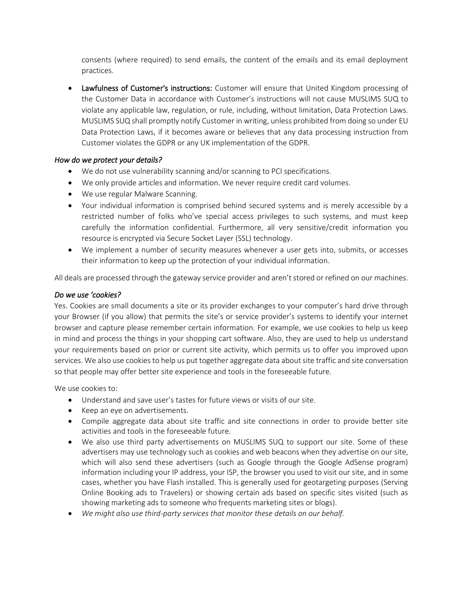consents (where required) to send emails, the content of the emails and its email deployment practices.

• Lawfulness of Customer's instructions: Customer will ensure that United Kingdom processing of the Customer Data in accordance with Customer's instructions will not cause MUSLIMS SUQ to violate any applicable law, regulation, or rule, including, without limitation, Data Protection Laws. MUSLIMS SUQ shall promptly notify Customer in writing, unless prohibited from doing so under EU Data Protection Laws, if it becomes aware or believes that any data processing instruction from Customer violates the GDPR or any UK implementation of the GDPR.

# <span id="page-6-0"></span>*How do we protect your details?*

- We do not use vulnerability scanning and/or scanning to PCI specifications.
- We only provide articles and information. We never require credit card volumes.
- We use regular Malware Scanning.
- Your individual information is comprised behind secured systems and is merely accessible by a restricted number of folks who've special access privileges to such systems, and must keep carefully the information confidential. Furthermore, all very sensitive/credit information you resource is encrypted via Secure Socket Layer (SSL) technology.
- We implement a number of security measures whenever a user gets into, submits, or accesses their information to keep up the protection of your individual information.

All deals are processed through the gateway service provider and aren't stored or refined on our machines.

#### <span id="page-6-1"></span>*Do we use 'cookies?*

Yes. Cookies are small documents a site or its provider exchanges to your computer's hard drive through your Browser (if you allow) that permits the site's or service provider's systems to identify your internet browser and capture please remember certain information. For example, we use cookies to help us keep in mind and process the things in your shopping cart software. Also, they are used to help us understand your requirements based on prior or current site activity, which permits us to offer you improved upon services. We also use cookies to help us put together aggregate data about site traffic and site conversation so that people may offer better site experience and tools in the foreseeable future.

<span id="page-6-2"></span>We use cookies to:

- Understand and save user's tastes for future views or visits of our site.
- Keep an eye on advertisements.
- Compile aggregate data about site traffic and site connections in order to provide better site activities and tools in the foreseeable future.
- We also use third party advertisements on MUSLIMS SUQ to support our site. Some of these advertisers may use technology such as cookies and web beacons when they advertise on our site, which will also send these advertisers (such as Google through the Google AdSense program) information including your IP address, your ISP, the browser you used to visit our site, and in some cases, whether you have Flash installed. This is generally used for geotargeting purposes (Serving Online Booking ads to Travelers) or showing certain ads based on specific sites visited (such as showing marketing ads to someone who frequents marketing sites or blogs).
- *We might also use third-party services that monitor these details on our behalf.*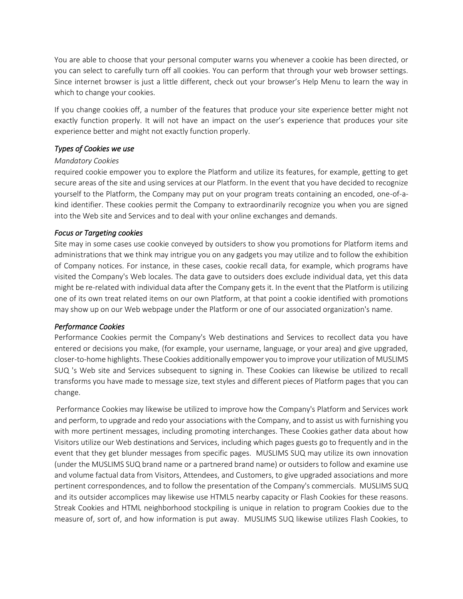You are able to choose that your personal computer warns you whenever a cookie has been directed, or you can select to carefully turn off all cookies. You can perform that through your web browser settings. Since internet browser is just a little different, check out your browser's Help Menu to learn the way in which to change your cookies.

If you change cookies off, a number of the features that produce your site experience better might not exactly function properly. It will not have an impact on the user's experience that produces your site experience better and might not exactly function properly.

#### <span id="page-7-0"></span>*Types of Cookies we use*

## *Mandatory Cookies*

required cookie empower you to explore the Platform and utilize its features, for example, getting to get secure areas of the site and using services at our Platform. In the event that you have decided to recognize yourself to the Platform, the Company may put on your program treats containing an encoded, one-of-akind identifier. These cookies permit the Company to extraordinarily recognize you when you are signed into the Web site and Services and to deal with your online exchanges and demands.

# *Focus or Targeting cookies*

Site may in some cases use cookie conveyed by outsiders to show you promotions for Platform items and administrations that we think may intrigue you on any gadgets you may utilize and to follow the exhibition of Company notices. For instance, in these cases, cookie recall data, for example, which programs have visited the Company's Web locales. The data gave to outsiders does exclude individual data, yet this data might be re-related with individual data after the Company gets it. In the event that the Platform is utilizing one of its own treat related items on our own Platform, at that point a cookie identified with promotions may show up on our Web webpage under the Platform or one of our associated organization's name.

# *Performance Cookies*

Performance Cookies permit the Company's Web destinations and Services to recollect data you have entered or decisions you make, (for example, your username, language, or your area) and give upgraded, closer-to-home highlights. These Cookies additionally empower you to improve your utilization of MUSLIMS SUQ 's Web site and Services subsequent to signing in. These Cookies can likewise be utilized to recall transforms you have made to message size, text styles and different pieces of Platform pages that you can change.

Performance Cookies may likewise be utilized to improve how the Company's Platform and Services work and perform, to upgrade and redo your associations with the Company, and to assist us with furnishing you with more pertinent messages, including promoting interchanges. These Cookies gather data about how Visitors utilize our Web destinations and Services, including which pages guests go to frequently and in the event that they get blunder messages from specific pages. MUSLIMS SUQ may utilize its own innovation (under the MUSLIMS SUQ brand name or a partnered brand name) or outsiders to follow and examine use and volume factual data from Visitors, Attendees, and Customers, to give upgraded associations and more pertinent correspondences, and to follow the presentation of the Company's commercials. MUSLIMS SUQ and its outsider accomplices may likewise use HTML5 nearby capacity or Flash Cookies for these reasons. Streak Cookies and HTML neighborhood stockpiling is unique in relation to program Cookies due to the measure of, sort of, and how information is put away. MUSLIMS SUQ likewise utilizes Flash Cookies, to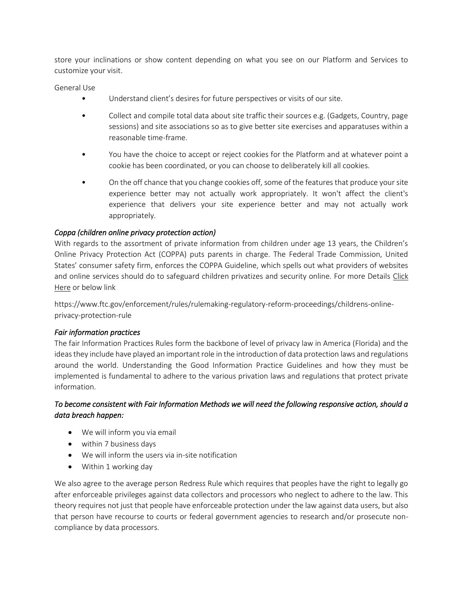store your inclinations or show content depending on what you see on our Platform and Services to customize your visit.

<span id="page-8-0"></span>General Use

- Understand client's desires for future perspectives or visits of our site.
- Collect and compile total data about site traffic their sources e.g. (Gadgets, Country, page sessions) and site associations so as to give better site exercises and apparatuses within a reasonable time-frame.
- You have the choice to accept or reject cookies for the Platform and at whatever point a cookie has been coordinated, or you can choose to deliberately kill all cookies.
- On the off chance that you change cookies off, some of the features that produce your site experience better may not actually work appropriately. It won't affect the client's experience that delivers your site experience better and may not actually work appropriately.

# <span id="page-8-1"></span>*Coppa (children online privacy protection action)*

With regards to the assortment of private information from children under age 13 years, the Children's Online Privacy Protection Act (COPPA) puts parents in charge. The Federal Trade Commission, United States' consumer safety firm, enforces the COPPA Guideline, which spells out what providers of websites and online services should do to safeguard children privatizes and security online. For more Details Click [Here](https://www.ftc.gov/enforcement/rules/rulemaking-regulatory-reform-proceedings/childrens-online-privacy-protection-rule) or below link

https://www.ftc.gov/enforcement/rules/rulemaking-regulatory-reform-proceedings/childrens-onlineprivacy-protection-rule

# <span id="page-8-2"></span>*Fair information practices*

The fair Information Practices Rules form the backbone of level of privacy law in America (Florida) and the ideas they include have played an important role in the introduction of data protection laws and regulations around the world. Understanding the Good Information Practice Guidelines and how they must be implemented is fundamental to adhere to the various privation laws and regulations that protect private information.

# *To become consistent with Fair Information Methods we will need the following responsive action, should a data breach happen:*

- We will inform you via email
- within 7 business days
- We will inform the users via in-site notification
- Within 1 working day

We also agree to the average person Redress Rule which requires that peoples have the right to legally go after enforceable privileges against data collectors and processors who neglect to adhere to the law. This theory requires not just that people have enforceable protection under the law against data users, but also that person have recourse to courts or federal government agencies to research and/or prosecute noncompliance by data processors.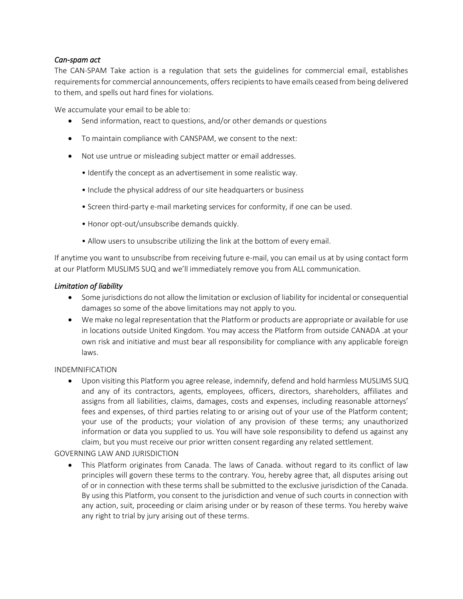## <span id="page-9-0"></span>*Can-spam act*

The CAN-SPAM Take action is a regulation that sets the guidelines for commercial email, establishes requirements for commercial announcements, offers recipients to have emails ceased from being delivered to them, and spells out hard fines for violations.

<span id="page-9-1"></span>We accumulate your email to be able to:

- Send information, react to questions, and/or other demands or questions
- To maintain compliance with CANSPAM, we consent to the next:
- Not use untrue or misleading subject matter or email addresses.
	- Identify the concept as an advertisement in some realistic way.
	- Include the physical address of our site headquarters or business
	- Screen third-party e-mail marketing services for conformity, if one can be used.
	- Honor opt-out/unsubscribe demands quickly.
	- Allow users to unsubscribe utilizing the link at the bottom of every email.

If anytime you want to unsubscribe from receiving future e-mail, you can email us at by using contact form at our Platform MUSLIMS SUQ and we'll immediately remove you from ALL communication.

#### <span id="page-9-2"></span>*Limitation of liability*

- Some jurisdictions do not allow the limitation or exclusion of liability for incidental or consequential damages so some of the above limitations may not apply to you.
- We make no legal representation that the Platform or products are appropriate or available for use in locations outside United Kingdom. You may access the Platform from outside CANADA .at your own risk and initiative and must bear all responsibility for compliance with any applicable foreign laws.

#### <span id="page-9-3"></span>INDEMNIFICATION

• Upon visiting this Platform you agree release, indemnify, defend and hold harmless MUSLIMS SUQ and any of its contractors, agents, employees, officers, directors, shareholders, affiliates and assigns from all liabilities, claims, damages, costs and expenses, including reasonable attorneys' fees and expenses, of third parties relating to or arising out of your use of the Platform content; your use of the products; your violation of any provision of these terms; any unauthorized information or data you supplied to us. You will have sole responsibility to defend us against any claim, but you must receive our prior written consent regarding any related settlement.

#### <span id="page-9-4"></span>GOVERNING LAW AND JURISDICTION

• This Platform originates from Canada. The laws of Canada. without regard to its conflict of law principles will govern these terms to the contrary. You, hereby agree that, all disputes arising out of or in connection with these terms shall be submitted to the exclusive jurisdiction of the Canada. By using this Platform, you consent to the jurisdiction and venue of such courts in connection with any action, suit, proceeding or claim arising under or by reason of these terms. You hereby waive any right to trial by jury arising out of these terms.